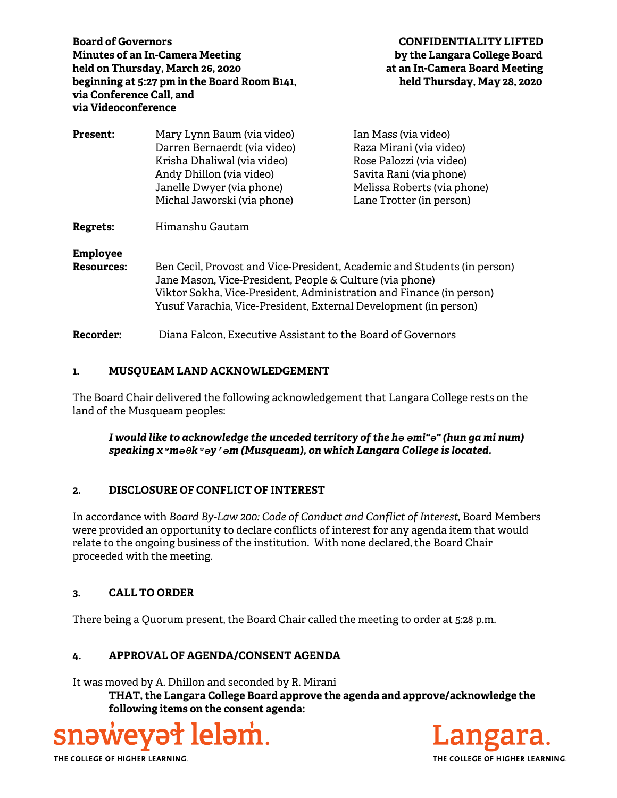**Board of Governors CONFIDENTIALITY LIFTED Minutes of an In-Camera Meeting by the Langara College Board held on Thursday, March 26, 2020 at an In-Camera Board Meeting beginning at 5:27 pm in the Board Room B141, held Thursday, May 28, 2020 via Conference Call, and via Videoconference** 

| <b>Present:</b>                      | Mary Lynn Baum (via video)<br>Darren Bernaerdt (via video)<br>Krisha Dhaliwal (via video)<br>Andy Dhillon (via video)<br>Janelle Dwyer (via phone)<br>Michal Jaworski (via phone) | Ian Mass (via video)<br>Raza Mirani (via video)<br>Rose Palozzi (via video)<br>Savita Rani (via phone)<br>Melissa Roberts (via phone)<br>Lane Trotter (in person) |
|--------------------------------------|-----------------------------------------------------------------------------------------------------------------------------------------------------------------------------------|-------------------------------------------------------------------------------------------------------------------------------------------------------------------|
| <b>Regrets:</b>                      | Himanshu Gautam                                                                                                                                                                   |                                                                                                                                                                   |
| <b>Employee</b><br><b>Resources:</b> | Ben Cecil, Provost and Vice-President, Academic and Students (in person)<br>Jane Mason, Vice-President, People & Culture (via phone)                                              |                                                                                                                                                                   |

Viktor Sokha, Vice-President, Administration and Finance (in person) Yusuf Varachia, Vice-President, External Development (in person)

**Recorder:** Diana Falcon, Executive Assistant to the Board of Governors

# **1. MUSQUEAM LAND ACKNOWLEDGEMENT**

The Board Chair delivered the following acknowledgement that Langara College rests on the land of the Musqueam peoples:

*I would like to acknowledge the unceded territory of the hә әmi"ә" (hun ga mi num) speaking xʷmәθkʷәy̓әm (Musqueam), on which Langara College is located.*

## **2. DISCLOSURE OF CONFLICT OF INTEREST**

In accordance with *Board By-Law 200: Code of Conduct and Conflict of Interest*, Board Members were provided an opportunity to declare conflicts of interest for any agenda item that would relate to the ongoing business of the institution. With none declared, the Board Chair proceeded with the meeting.

## **3. CALL TO ORDER**

There being a Quorum present, the Board Chair called the meeting to order at 5:28 p.m.

## **4. APPROVAL OF AGENDA/CONSENT AGENDA**

It was moved by A. Dhillon and seconded by R. Mirani

**THAT, the Langara College Board approve the agenda and approve/acknowledge the following items on the consent agenda:** 





THE COLLEGE OF HIGHER LEARNING.